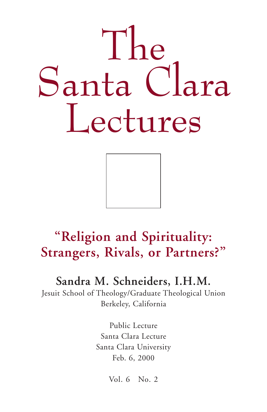# The Santa Clara Lectures

## **"Religion and Spirituality: Strangers, Rivals, or Partners?"**

### **Sandra M. Schneiders, I.H.M.**

Jesuit School of Theology/Graduate Theological Union Berkeley, California

> Public Lecture Santa Clara Lecture Santa Clara University Feb. 6, 2000

> > Vol. 6 No. 2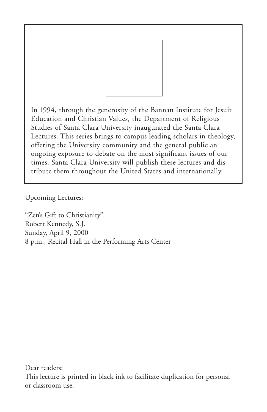

In 1994, through the generosity of the Bannan Institute for Jesuit Education and Christian Values, the Department of Religious Studies of Santa Clara University inaugurated the Santa Clara Lectures. This series brings to campus leading scholars in theology, offering the University community and the general public an ongoing exposure to debate on the most significant issues of our times. Santa Clara University will publish these lectures and distribute them throughout the United States and internationally.

Upcoming Lectures:

"Zen's Gift to Christianity" Robert Kennedy, S.J. Sunday, April 9, 2000 8 p.m., Recital Hall in the Performing Arts Center

Dear readers: This lecture is printed in black ink to facilitate duplication for personal or classroom use.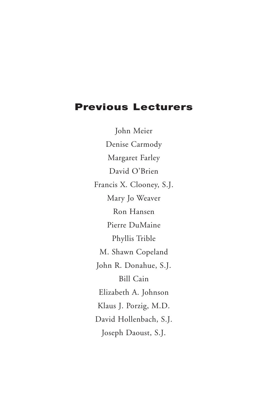#### **Previous Lecturers**

John Meier Denise Carmody Margaret Farley David O'Brien Francis X. Clooney, S.J. Mary Jo Weaver Ron Hansen Pierre DuMaine Phyllis Trible M. Shawn Copeland John R. Donahue, S.J. Bill Cain Elizabeth A. Johnson Klaus J. Porzig, M.D. David Hollenbach, S.J. Joseph Daoust, S.J.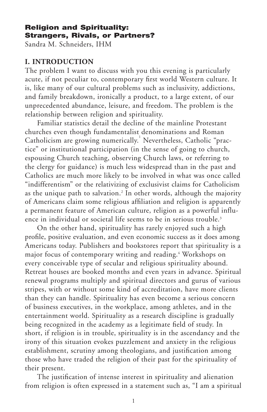#### **Religion and Spirituality: Strangers, Rivals, or Partners?**

Sandra M. Schneiders, IHM

#### **I. INTRODUCTION**

The problem I want to discuss with you this evening is particularly acute, if not peculiar to, contemporary first world Western culture. It is, like many of our cultural problems such as inclusivity, addictions, and family breakdown, ironically a product, to a large extent, of our unprecedented abundance, leisure, and freedom. The problem is the relationship between religion and spirituality.

Familiar statistics detail the decline of the mainline Protestant churches even though fundamentalist denominations and Roman Catholicism are growing numerically.<sup>1</sup> Nevertheless, Catholic "practice" or institutional participation (in the sense of going to church, espousing Church teaching, observing Church laws, or referring to the clergy for guidance) is much less widespread than in the past and Catholics are much more likely to be involved in what was once called "indifferentism" or the relativizing of exclusivist claims for Catholicism as the unique path to salvation.<sup>2</sup> In other words, although the majority of Americans claim some religious affiliation and religion is apparently a permanent feature of American culture, religion as a powerful influence in individual or societal life seems to be in serious trouble.<sup>3</sup>

On the other hand, spirituality has rarely enjoyed such a high profile, positive evaluation, and even economic success as it does among Americans today. Publishers and bookstores report that spirituality is a major focus of contemporary writing and reading.<sup>4</sup> Workshops on every conceivable type of secular and religious spirituality abound. Retreat houses are booked months and even years in advance. Spiritual renewal programs multiply and spiritual directors and gurus of various stripes, with or without some kind of accreditation, have more clients than they can handle. Spirituality has even become a serious concern of business executives, in the workplace, among athletes, and in the entertainment world. Spirituality as a research discipline is gradually being recognized in the academy as a legitimate field of study. In short, if religion is in trouble, spirituality is in the ascendancy and the irony of this situation evokes puzzlement and anxiety in the religious establishment, scrutiny among theologians, and justification among those who have traded the religion of their past for the spirituality of their present.

The justification of intense interest in spirituality and alienation from religion is often expressed in a statement such as, "I am a spiritual

1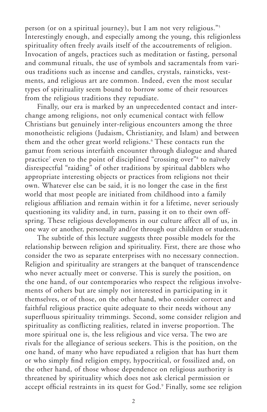person (or on a spiritual journey), but I am not very religious."5 Interestingly enough, and especially among the young, this religionless spirituality often freely avails itself of the accoutrements of religion. Invocation of angels, practices such as meditation or fasting, personal and communal rituals, the use of symbols and sacramentals from various traditions such as incense and candles, crystals, rainsticks, vestments, and religious art are common. Indeed, even the most secular types of spirituality seem bound to borrow some of their resources from the religious traditions they repudiate.

Finally, our era is marked by an unprecedented contact and interchange among religions, not only ecumenical contact with fellow Christians but genuinely inter-religious encounters among the three monotheistic religions (Judaism, Christianity, and Islam) and between them and the other great world religions.<sup>6</sup> These contacts run the gamut from serious interfaith encounter through dialogue and shared practice<sup>7</sup> even to the point of disciplined "crossing over"<sup>8</sup> to naïvely disrespectful "raiding" of other traditions by spiritual dabblers who appropriate interesting objects or practices from religions not their own. Whatever else can be said, it is no longer the case in the first world that most people are initiated from childhood into a family religious affiliation and remain within it for a lifetime, never seriously questioning its validity and, in turn, passing it on to their own offspring. These religious developments in our culture affect all of us, in one way or another, personally and/or through our children or students.

The subtitle of this lecture suggests three possible models for the relationship between religion and spirituality. First, there are those who consider the two as separate enterprises with no necessary connection. Religion and spirituality are strangers at the banquet of transcendence who never actually meet or converse. This is surely the position, on the one hand, of our contemporaries who respect the religious involvements of others but are simply not interested in participating in it themselves, or of those, on the other hand, who consider correct and faithful religious practice quite adequate to their needs without any superfluous spirituality trimmings. Second, some consider religion and spirituality as conflicting realities, related in inverse proportion. The more spiritual one is, the less religious and vice versa. The two are rivals for the allegiance of serious seekers. This is the position, on the one hand, of many who have repudiated a religion that has hurt them or who simply find religion empty, hypocritical, or fossilized and, on the other hand, of those whose dependence on religious authority is threatened by spirituality which does not ask clerical permission or accept official restraints in its quest for God.<sup>9</sup> Finally, some see religion

 $\overline{\mathcal{L}}$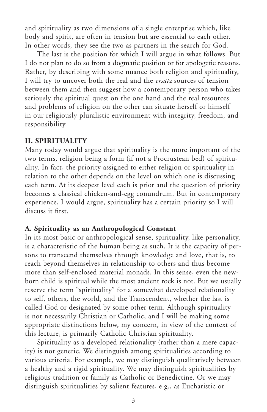and spirituality as two dimensions of a single enterprise which, like body and spirit, are often in tension but are essential to each other. In other words, they see the two as partners in the search for God.

The last is the position for which I will argue in what follows. But I do not plan to do so from a dogmatic position or for apologetic reasons. Rather, by describing with some nuance both religion and spirituality, I will try to uncover both the real and the *ersatz* sources of tension between them and then suggest how a contemporary person who takes seriously the spiritual quest on the one hand and the real resources and problems of religion on the other can situate herself or himself in our religiously pluralistic environment with integrity, freedom, and responsibility.

#### **II. SPIRITUALITY**

Many today would argue that spirituality is the more important of the two terms, religion being a form (if not a Procrustean bed) of spirituality. In fact, the priority assigned to either religion or spirituality in relation to the other depends on the level on which one is discussing each term. At its deepest level each is prior and the question of priority becomes a classical chicken-and-egg conundrum. But in contemporary experience, I would argue, spirituality has a certain priority so I will discuss it first.

#### **A. Spirituality as an Anthropological Constant**

In its most basic or anthropological sense, spirituality, like personality, is a characteristic of the human being as such. It is the capacity of persons to transcend themselves through knowledge and love, that is, to reach beyond themselves in relationship to others and thus become more than self-enclosed material monads. In this sense, even the newborn child is spiritual while the most ancient rock is not. But we usually reserve the term "spirituality" for a somewhat developed relationality to self, others, the world, and the Transcendent, whether the last is called God or designated by some other term. Although spirituality is not necessarily Christian or Catholic, and I will be making some appropriate distinctions below, my concern, in view of the context of this lecture, is primarily Catholic Christian spirituality.

Spirituality as a developed relationality (rather than a mere capacity) is not generic. We distinguish among spiritualities according to various criteria. For example, we may distinguish qualitatively between a healthy and a rigid spirituality. We may distinguish spiritualities by religious tradition or family as Catholic or Benedictine. Or we may distinguish spiritualities by salient features, e.g., as Eucharistic or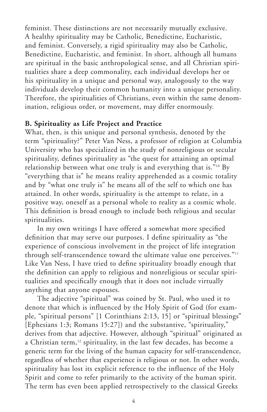feminist. These distinctions are not necessarily mutually exclusive. A healthy spirituality may be Catholic, Benedictine, Eucharistic, and feminist. Conversely, a rigid spirituality may also be Catholic, Benedictine, Eucharistic, and feminist. In short, although all humans are spiritual in the basic anthropological sense, and all Christian spiritualities share a deep commonality, each individual develops her or his spirituality in a unique and personal way, analogously to the way individuals develop their common humanity into a unique personality. Therefore, the spiritualities of Christians, even within the same denomination, religious order, or movement, may differ enormously.

#### **B. Spirituality as Life Project and Practice**

What, then, is this unique and personal synthesis, denoted by the term "spirituality?" Peter Van Ness, a professor of religion at Columbia University who has specialized in the study of nonreligious or secular spirituality, defines spirituality as "the quest for attaining an optimal relationship between what one truly is and everything that is."10 By "everything that is" he means reality apprehended as a cosmic totality and by "what one truly is" he means all of the self to which one has attained. In other words, spirituality is the attempt to relate, in a positive way, oneself as a personal whole to reality as a cosmic whole. This definition is broad enough to include both religious and secular spiritualities.

In my own writings I have offered a somewhat more specified definition that may serve our purposes. I define spirituality as "the experience of conscious involvement in the project of life integration through self-transcendence toward the ultimate value one perceives."<sup>11</sup> Like Van Ness, I have tried to define spirituality broadly enough that the definition can apply to religious and nonreligious or secular spiritualities and specifically enough that it does not include virtually anything that anyone espouses.

The adjective "spiritual" was coined by St. Paul, who used it to denote that which is influenced by the Holy Spirit of God (for example, "spiritual persons" [1 Corinthians 2:13, 15] or "spiritual blessings" [Ephesians 1:3; Romans 15:27]) and the substantive, "spirituality," derives from that adjective. However, although "spiritual" originated as a Christian term,<sup>12</sup> spirituality, in the last few decades, has become a generic term for the living of the human capacity for self-transcendence, regardless of whether that experience is religious or not. In other words, spirituality has lost its explicit reference to the influence of the Holy Spirit and come to refer primarily to the activity of the human spirit. The term has even been applied retrospectively to the classical Greeks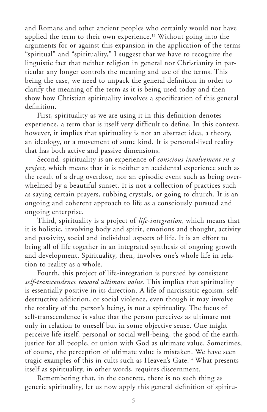and Romans and other ancient peoples who certainly would not have applied the term to their own experience.<sup>13</sup> Without going into the arguments for or against this expansion in the application of the terms "spiritual" and "spirituality," I suggest that we have to recognize the linguistic fact that neither religion in general nor Christianity in particular any longer controls the meaning and use of the terms. This being the case, we need to unpack the general definition in order to clarify the meaning of the term as it is being used today and then show how Christian spirituality involves a specification of this general definition.

First, spirituality as we are using it in this definition denotes experience, a term that is itself very difficult to define. In this context, however, it implies that spirituality is not an abstract idea, a theory, an ideology, or a movement of some kind. It is personal-lived reality that has both active and passive dimensions.

Second, spirituality is an experience of *conscious involvement in a project,* which means that it is neither an accidental experience such as the result of a drug overdose, nor an episodic event such as being overwhelmed by a beautiful sunset. It is not a collection of practices such as saying certain prayers, rubbing crystals, or going to church. It is an ongoing and coherent approach to life as a consciously pursued and ongoing enterprise.

Third, spirituality is a project of *life-integration,* which means that it is holistic, involving body and spirit, emotions and thought, activity and passivity, social and individual aspects of life. It is an effort to bring all of life together in an integrated synthesis of ongoing growth and development. Spirituality, then, involves one's whole life in relation to reality as a whole.

Fourth, this project of life-integration is pursued by consistent *self-transcendence toward ultimate value.* This implies that spirituality is essentially positive in its direction. A life of narcissistic egoism, selfdestructive addiction, or social violence, even though it may involve the totality of the person's being, is not a spirituality. The focus of self-transcendence is value that the person perceives as ultimate not only in relation to oneself but in some objective sense. One might perceive life itself, personal or social well-being, the good of the earth, justice for all people, or union with God as ultimate value. Sometimes, of course, the perception of ultimate value is mistaken. We have seen tragic examples of this in cults such as Heaven's Gate.<sup>14</sup> What presents itself as spirituality, in other words, requires discernment.

Remembering that, in the concrete, there is no such thing as generic spirituality, let us now apply this general definition of spiritu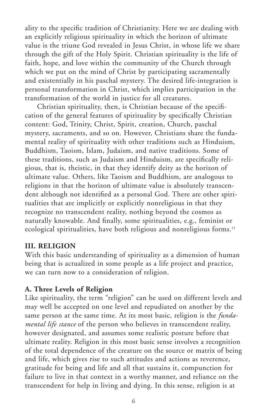ality to the specific tradition of Christianity. Here we are dealing with an explicitly religious spirituality in which the horizon of ultimate value is the triune God revealed in Jesus Christ, in whose life we share through the gift of the Holy Spirit. Christian spirituality is the life of faith, hope, and love within the community of the Church through which we put on the mind of Christ by participating sacramentally and existentially in his paschal mystery. The desired life-integration is personal transformation in Christ, which implies participation in the transformation of the world in justice for all creatures.

Christian spirituality, then, is Christian because of the specification of the general features of spirituality by specifically Christian content: God, Trinity, Christ, Spirit, creation, Church, paschal mystery, sacraments, and so on. However, Christians share the fundamental reality of spirituality with other traditions such as Hinduism, Buddhism, Taoism, Islam, Judaism, and native traditions. Some of these traditions, such as Judaism and Hinduism, are specifically religious, that is, theistic, in that they identify deity as the horizon of ultimate value. Others, like Taoism and Buddhism, are analogous to religions in that the horizon of ultimate value is absolutely transcendent although not identified as a personal God. There are other spiritualities that are implicitly or explicitly nonreligious in that they recognize no transcendent reality, nothing beyond the cosmos as naturally knowable. And finally, some spiritualities, e.g., feminist or ecological spiritualities, have both religious and nonreligious forms.15

#### **III. RELIGION**

With this basic understanding of spirituality as a dimension of human being that is actualized in some people as a life project and practice, we can turn now to a consideration of religion.

#### **A. Three Levels of Religion**

Like spirituality, the term "religion" can be used on different levels and may well be accepted on one level and repudiated on another by the same person at the same time. At its most basic, religion is the *fundamental life stance* of the person who believes in transcendent reality, however designated, and assumes some realistic posture before that ultimate reality. Religion in this most basic sense involves a recognition of the total dependence of the creature on the source or matrix of being and life, which gives rise to such attitudes and actions as reverence, gratitude for being and life and all that sustains it, compunction for failure to live in that context in a worthy manner, and reliance on the transcendent for help in living and dying. In this sense, religion is at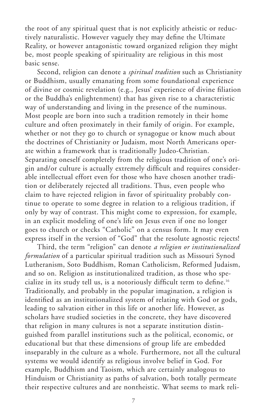the root of any spiritual quest that is not explicitly atheistic or reductively naturalistic. However vaguely they may define the Ultimate Reality, or however antagonistic toward organized religion they might be, most people speaking of spirituality are religious in this most basic sense.

Second, religion can denote a *spiritual tradition* such as Christianity or Buddhism, usually emanating from some foundational experience of divine or cosmic revelation (e.g., Jesus' experience of divine filiation or the Buddha's enlightenment) that has given rise to a characteristic way of understanding and living in the presence of the numinous. Most people are born into such a tradition remotely in their home culture and often proximately in their family of origin. For example, whether or not they go to church or synagogue or know much about the doctrines of Christianity or Judaism, most North Americans operate within a framework that is traditionally Judeo-Christian. Separating oneself completely from the religious tradition of one's origin and/or culture is actually extremely difficult and requires considerable intellectual effort even for those who have chosen another tradition or deliberately rejected all traditions. Thus, even people who claim to have rejected religion in favor of spirituality probably continue to operate to some degree in relation to a religious tradition, if only by way of contrast. This might come to expression, for example, in an explicit modeling of one's life on Jesus even if one no longer goes to church or checks "Catholic" on a census form. It may even express itself in the version of "God" that the resolute agnostic rejects!

Third, the term "religion" can denote *a religion or institutionalized formulation* of a particular spiritual tradition such as Missouri Synod Lutheranism, Soto Buddhism, Roman Catholicism, Reformed Judaism, and so on. Religion as institutionalized tradition, as those who specialize in its study tell us, is a notoriously difficult term to define.16 Traditionally, and probably in the popular imagination, a religion is identified as an institutionalized system of relating with God or gods, leading to salvation either in this life or another life. However, as scholars have studied societies in the concrete, they have discovered that religion in many cultures is not a separate institution distinguished from parallel institutions such as the political, economic, or educational but that these dimensions of group life are embedded inseparably in the culture as a whole. Furthermore, not all the cultural systems we would identify as religious involve belief in God. For example, Buddhism and Taoism, which are certainly analogous to Hinduism or Christianity as paths of salvation, both totally permeate their respective cultures and are nontheistic. What seems to mark reli-

7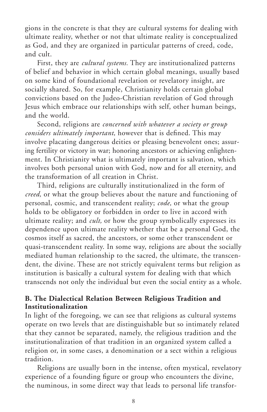gions in the concrete is that they are cultural systems for dealing with ultimate reality, whether or not that ultimate reality is conceptualized as God, and they are organized in particular patterns of creed, code, and cult.

First, they are *cultural systems.* They are institutionalized patterns of belief and behavior in which certain global meanings, usually based on some kind of foundational revelation or revelatory insight, are socially shared. So, for example, Christianity holds certain global convictions based on the Judeo-Christian revelation of God through Jesus which embrace our relationships with self, other human beings, and the world.

Second, religions are *concerned with whatever a society or group considers ultimately important,* however that is defined. This may involve placating dangerous deities or pleasing benevolent ones; assuring fertility or victory in war; honoring ancestors or achieving enlightenment. In Christianity what is ultimately important is salvation, which involves both personal union with God, now and for all eternity, and the transformation of all creation in Christ.

Third, religions are culturally institutionalized in the form of *creed,* or what the group believes about the nature and functioning of personal, cosmic, and transcendent reality; *code,* or what the group holds to be obligatory or forbidden in order to live in accord with ultimate reality; and *cult,* or how the group symbolically expresses its dependence upon ultimate reality whether that be a personal God, the cosmos itself as sacred, the ancestors, or some other transcendent or quasi-transcendent reality. In some way, religions are about the socially mediated human relationship to the sacred, the ultimate, the transcendent, the divine. These are not strictly equivalent terms but religion as institution is basically a cultural system for dealing with that which transcends not only the individual but even the social entity as a whole.

#### **B. The Dialectical Relation Between Religious Tradition and Institutionalization**

In light of the foregoing, we can see that religions as cultural systems operate on two levels that are distinguishable but so intimately related that they cannot be separated, namely, the religious tradition and the institutionalization of that tradition in an organized system called a religion or, in some cases, a denomination or a sect within a religious tradition.

Religions are usually born in the intense, often mystical, revelatory experience of a founding figure or group who encounters the divine, the numinous, in some direct way that leads to personal life transfor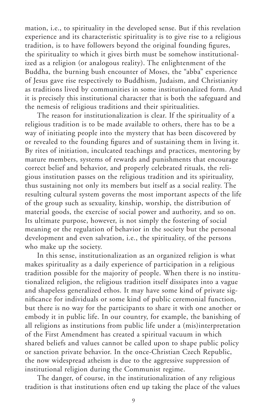mation, i.e., to spirituality in the developed sense. But if this revelation experience and its characteristic spirituality is to give rise to a religious tradition, is to have followers beyond the original founding figures, the spirituality to which it gives birth must be somehow institutionalized as a religion (or analogous reality). The enlightenment of the Buddha, the burning bush encounter of Moses, the "abba" experience of Jesus gave rise respectively to Buddhism, Judaism, and Christianity as traditions lived by communities in some institutionalized form. And it is precisely this institutional character that is both the safeguard and the nemesis of religious traditions and their spiritualities.

The reason for institutionalization is clear. If the spirituality of a religious tradition is to be made available to others, there has to be a way of initiating people into the mystery that has been discovered by or revealed to the founding figures and of sustaining them in living it. By rites of initiation, inculcated teachings and practices, mentoring by mature members, systems of rewards and punishments that encourage correct belief and behavior, and properly celebrated rituals, the religious institution passes on the religious tradition and its spirituality, thus sustaining not only its members but itself as a social reality. The resulting cultural system governs the most important aspects of the life of the group such as sexuality, kinship, worship, the distribution of material goods, the exercise of social power and authority, and so on. Its ultimate purpose, however, is not simply the fostering of social meaning or the regulation of behavior in the society but the personal development and even salvation, i.e., the spirituality, of the persons who make up the society.

In this sense, institutionalization as an organized religion is what makes spirituality as a daily experience of participation in a religious tradition possible for the majority of people. When there is no institutionalized religion, the religious tradition itself dissipates into a vague and shapeless generalized ethos. It may have some kind of private significance for individuals or some kind of public ceremonial function, but there is no way for the participants to share it with one another or embody it in public life. In our country, for example, the banishing of all religions as institutions from public life under a (mis)interpretation of the First Amendment has created a spiritual vacuum in which shared beliefs and values cannot be called upon to shape public policy or sanction private behavior. In the once-Christian Czech Republic, the now widespread atheism is due to the aggressive suppression of institutional religion during the Communist regime.

The danger, of course, in the institutionalization of any religious tradition is that institutions often end up taking the place of the values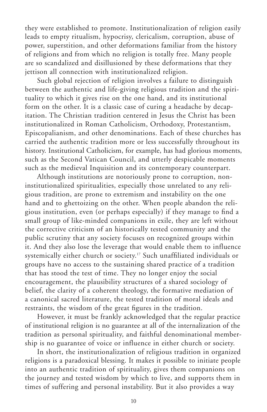they were established to promote. Institutionalization of religion easily leads to empty ritualism, hypocrisy, clericalism, corruption, abuse of power, superstition, and other deformations familiar from the history of religions and from which no religion is totally free. Many people are so scandalized and disillusioned by these deformations that they jettison all connection with institutionalized religion.

Such global rejection of religion involves a failure to distinguish between the authentic and life-giving religious tradition and the spirituality to which it gives rise on the one hand, and its institutional form on the other. It is a classic case of curing a headache by decapitation. The Christian tradition centered in Jesus the Christ has been institutionalized in Roman Catholicism, Orthodoxy, Protestantism, Episcopalianism, and other denominations. Each of these churches has carried the authentic tradition more or less successfully throughout its history. Institutional Catholicism, for example, has had glorious moments, such as the Second Vatican Council, and utterly despicable moments such as the medieval Inquisition and its contemporary counterpart.

Although institutions are notoriously prone to corruption, noninstitutionalized spiritualities, especially those unrelated to any religious tradition, are prone to extremism and instability on the one hand and to ghettoizing on the other. When people abandon the religious institution, even (or perhaps especially) if they manage to find a small group of like-minded companions in exile, they are left without the corrective criticism of an historically tested community and the public scrutiny that any society focuses on recognized groups within it. And they also lose the leverage that would enable them to influence systemically either church or society.<sup>17</sup> Such unaffiliated individuals or groups have no access to the sustaining shared practice of a tradition that has stood the test of time. They no longer enjoy the social encouragement, the plausibility structures of a shared sociology of belief, the clarity of a coherent theology, the formative mediation of a canonical sacred literature, the tested tradition of moral ideals and restraints, the wisdom of the great figures in the tradition.

However, it must be frankly acknowledged that the regular practice of institutional religion is no guarantee at all of the internalization of the tradition as personal spirituality, and faithful denominational membership is no guarantee of voice or influence in either church or society.

In short, the institutionalization of religious tradition in organized religions is a paradoxical blessing. It makes it possible to initiate people into an authentic tradition of spirituality, gives them companions on the journey and tested wisdom by which to live, and supports them in times of suffering and personal instability. But it also provides a way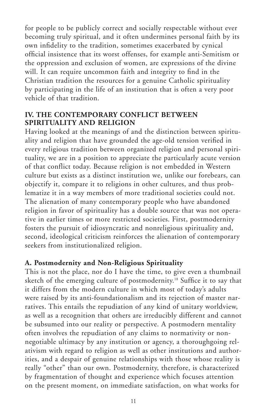for people to be publicly correct and socially respectable without ever becoming truly spiritual, and it often undermines personal faith by its own infidelity to the tradition, sometimes exacerbated by cynical official insistence that its worst offenses, for example anti-Semitism or the oppression and exclusion of women, are expressions of the divine will. It can require uncommon faith and integrity to find in the Christian tradition the resources for a genuine Catholic spirituality by participating in the life of an institution that is often a very poor vehicle of that tradition.

#### **IV. THE CONTEMPORARY CONFLICT BETWEEN SPIRITUALITY AND RELIGION**

Having looked at the meanings of and the distinction between spirituality and religion that have grounded the age-old tension verified in every religious tradition between organized religion and personal spirituality, we are in a position to appreciate the particularly acute version of that conflict today. Because religion is not embedded in Western culture but exists as a distinct institution we, unlike our forebears, can objectify it, compare it to religions in other cultures, and thus problematize it in a way members of more traditional societies could not. The alienation of many contemporary people who have abandoned religion in favor of spirituality has a double source that was not operative in earlier times or more restricted societies. First, postmodernity fosters the pursuit of idiosyncratic and nonreligious spirituality and, second, ideological criticism reinforces the alienation of contemporary seekers from institutionalized religion.

#### **A. Postmodernity and Non-Religious Spirituality**

This is not the place, nor do I have the time, to give even a thumbnail sketch of the emerging culture of postmodernity.<sup>18</sup> Suffice it to say that it differs from the modern culture in which most of today's adults were raised by its anti-foundationalism and its rejection of master narratives. This entails the repudiation of any kind of unitary worldview, as well as a recognition that others are irreducibly different and cannot be subsumed into our reality or perspective. A postmodern mentality often involves the repudiation of any claims to normativity or nonnegotiable ultimacy by any institution or agency, a thoroughgoing relativism with regard to religion as well as other institutions and authorities, and a despair of genuine relationships with those whose reality is really "other" than our own. Postmodernity, therefore, is characterized by fragmentation of thought and experience which focuses attention on the present moment, on immediate satisfaction, on what works for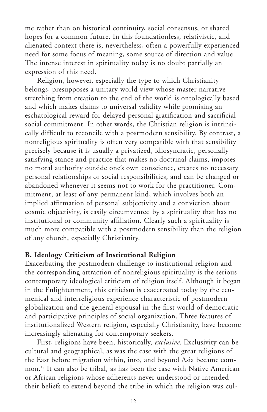me rather than on historical continuity, social consensus, or shared hopes for a common future. In this foundationless, relativistic, and alienated context there is, nevertheless, often a powerfully experienced need for some focus of meaning, some source of direction and value. The intense interest in spirituality today is no doubt partially an expression of this need.

Religion, however, especially the type to which Christianity belongs, presupposes a unitary world view whose master narrative stretching from creation to the end of the world is ontologically based and which makes claims to universal validity while promising an eschatological reward for delayed personal gratification and sacrificial social commitment. In other words, the Christian religion is intrinsically difficult to reconcile with a postmodern sensibility. By contrast, a nonreligious spirituality is often very compatible with that sensibility precisely because it is usually a privatized, idiosyncratic, personally satisfying stance and practice that makes no doctrinal claims, imposes no moral authority outside one's own conscience, creates no necessary personal relationships or social responsibilities, and can be changed or abandoned whenever it seems not to work for the practitioner. Commitment, at least of any permanent kind, which involves both an implied affirmation of personal subjectivity and a conviction about cosmic objectivity, is easily circumvented by a spirituality that has no institutional or community affiliation. Clearly such a spirituality is much more compatible with a postmodern sensibility than the religion of any church, especially Christianity.

#### **B. Ideology Criticism of Institutional Religion**

Exacerbating the postmodern challenge to institutional religion and the corresponding attraction of nonreligious spirituality is the serious contemporary ideological criticism of religion itself. Although it began in the Enlightenment, this criticism is exacerbated today by the ecumenical and interreligious experience characteristic of postmodern globalization and the general espousal in the first world of democratic and participative principles of social organization. Three features of institutionalized Western religion, especially Christianity, have become increasingly alienating for contemporary seekers.

First, religions have been, historically, *exclusive.* Exclusivity can be cultural and geographical, as was the case with the great religions of the East before migration within, into, and beyond Asia became common.19 It can also be tribal, as has been the case with Native American or African religions whose adherents never understood or intended their beliefs to extend beyond the tribe in which the religion was cul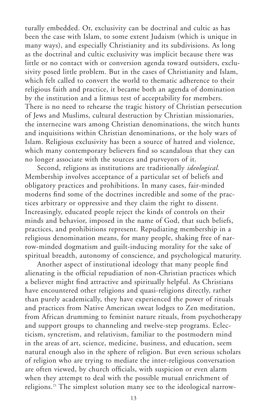turally embedded. Or, exclusivity can be doctrinal and cultic as has been the case with Islam, to some extent Judaism (which is unique in many ways), and especially Christianity and its subdivisions. As long as the doctrinal and cultic exclusivity was implicit because there was little or no contact with or conversion agenda toward outsiders, exclusivity posed little problem. But in the cases of Christianity and Islam, which felt called to convert the world to thematic adherence to their religious faith and practice, it became both an agenda of domination by the institution and a litmus test of acceptability for members. There is no need to rehearse the tragic history of Christian persecution of Jews and Muslims, cultural destruction by Christian missionaries, the internecine wars among Christian denominations, the witch hunts and inquisitions within Christian denominations, or the holy wars of Islam. Religious exclusivity has been a source of hatred and violence, which many contemporary believers find so scandalous that they can no longer associate with the sources and purveyors of it.

Second, religions as institutions are traditionally *ideological.* Membership involves acceptance of a particular set of beliefs and obligatory practices and prohibitions. In many cases, fair-minded moderns find some of the doctrines incredible and some of the practices arbitrary or oppressive and they claim the right to dissent. Increasingly, educated people reject the kinds of controls on their minds and behavior, imposed in the name of God, that such beliefs, practices, and prohibitions represent. Repudiating membership in a religious denomination means, for many people, shaking free of narrow-minded dogmatism and guilt-inducing morality for the sake of spiritual breadth, autonomy of conscience, and psychological maturity.

Another aspect of institutional ideology that many people find alienating is the official repudiation of non-Christian practices which a believer might find attractive and spiritually helpful. As Christians have encountered other religions and quasi-religions directly, rather than purely academically, they have experienced the power of rituals and practices from Native American sweat lodges to Zen meditation, from African drumming to feminist nature rituals, from psychotherapy and support groups to channeling and twelve-step programs. Eclecticism, syncretism, and relativism, familiar to the postmodern mind in the areas of art, science, medicine, business, and education, seem natural enough also in the sphere of religion. But even serious scholars of religion who are trying to mediate the inter-religious conversation are often viewed, by church officials, with suspicion or even alarm when they attempt to deal with the possible mutual enrichment of religions.21 The simplest solution many see to the ideological narrow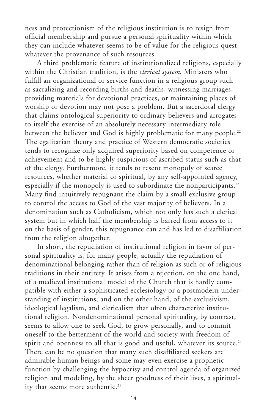ness and protectionism of the religious institution is to resign from official membership and pursue a personal spirituality within which they can include whatever seems to be of value for the religious quest, whatever the provenance of such resources.

A third problematic feature of institutionalized religions, especially within the Christian tradition, is the *clerical system.* Ministers who fulfill an organizational or service function in a religious group such as sacralizing and recording births and deaths, witnessing marriages, providing materials for devotional practices, or maintaining places of worship or devotion may not pose a problem. But a sacerdotal clergy that claims ontological superiority to ordinary believers and arrogates to itself the exercise of an absolutely necessary intermediary role between the believer and God is highly problematic for many people.<sup>22</sup> The egalitarian theory and practice of Western democratic societies tends to recognize only acquired superiority based on competence or achievement and to be highly suspicious of ascribed status such as that of the clergy. Furthermore, it tends to resent monopoly of scarce resources, whether material or spiritual, by any self-appointed agency, especially if the monopoly is used to subordinate the nonparticipants.<sup>23</sup> Many find intuitively repugnant the claim by a small exclusive group to control the access to God of the vast majority of believers. In a denomination such as Catholicism, which not only has such a clerical system but in which half the membership is barred from access to it on the basis of gender, this repugnance can and has led to disaffiliation from the religion altogether.

In short, the repudiation of institutional religion in favor of personal spirituality is, for many people, actually the repudiation of denominational belonging rather than of religion as such or of religious traditions in their entirety. It arises from a rejection, on the one hand, of a medieval institutional model of the Church that is hardly compatible with either a sophisticated ecclesiology or a postmodern understanding of institutions, and on the other hand, of the exclusivism, ideological legalism, and clericalism that often characterize institutional religion. Nondenominational personal spirituality, by contrast, seems to allow one to seek God, to grow personally, and to commit oneself to the betterment of the world and society with freedom of spirit and openness to all that is good and useful, whatever its source.<sup>24</sup> There can be no question that many such disaffiliated seekers are admirable human beings and some may even exercise a prophetic function by challenging the hypocrisy and control agenda of organized religion and modeling, by the sheer goodness of their lives, a spirituality that seems more authentic.<sup>25</sup>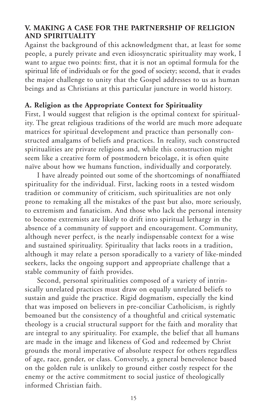#### **V. MAKING A CASE FOR THE PARTNERSHIP OF RELIGION AND SPIRITUALITY**

Against the background of this acknowledgment that, at least for some people, a purely private and even idiosyncratic spirituality may work, I want to argue two points: first, that it is not an optimal formula for the spiritual life of individuals or for the good of society; second, that it evades the major challenge to unity that the Gospel addresses to us as human beings and as Christians at this particular juncture in world history.

#### **A. Religion as the Appropriate Context for Spirituality**

First, I would suggest that religion is the optimal context for spirituality. The great religious traditions of the world are much more adequate matrices for spiritual development and practice than personally constructed amalgams of beliefs and practices. In reality, such constructed spiritualities are private religions and, while this construction might seem like a creative form of postmodern bricolage, it is often quite naïve about how we humans function, individually and corporately.

I have already pointed out some of the shortcomings of nonaffiiated spirituality for the individual. First, lacking roots in a tested wisdom tradition or community of criticism, such spiritualities are not only prone to remaking all the mistakes of the past but also, more seriously, to extremism and fanaticism. And those who lack the personal intensity to become extremists are likely to drift into spiritual lethargy in the absence of a community of support and encouragement. Community, although never perfect, is the nearly indispensable context for a wise and sustained spirituality. Spirituality that lacks roots in a tradition, although it may relate a person sporadically to a variety of like-minded seekers, lacks the ongoing support and appropriate challenge that a stable community of faith provides.

Second, personal spiritualities composed of a variety of intrinsically unrelated practices must draw on equally unrelated beliefs to sustain and guide the practice. Rigid dogmatism, especially the kind that was imposed on believers in pre-conciliar Catholicism, is rightly bemoaned but the consistency of a thoughtful and critical systematic theology is a crucial structural support for the faith and morality that are integral to any spirituality. For example, the belief that all humans are made in the image and likeness of God and redeemed by Christ grounds the moral imperative of absolute respect for others regardless of age, race, gender, or class. Conversely, a general benevolence based on the golden rule is unlikely to ground either costly respect for the enemy or the active commitment to social justice of theologically informed Christian faith.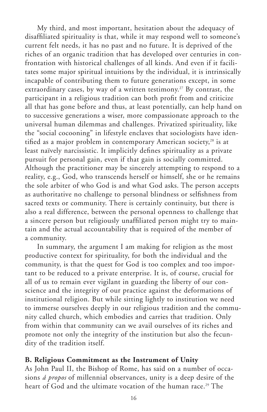My third, and most important, hesitation about the adequacy of disaffiliated spirituality is that, while it may respond well to someone's current felt needs, it has no past and no future. It is deprived of the riches of an organic tradition that has developed over centuries in confrontation with historical challenges of all kinds. And even if it facilitates some major spiritual intuitions by the individual, it is intrinsically incapable of contributing them to future generations except, in some extraordinary cases, by way of a written testimony.<sup>27</sup> By contrast, the participant in a religious tradition can both profit from and criticize all that has gone before and thus, at least potentially, can help hand on to successive generations a wiser, more compassionate approach to the universal human dilemmas and challenges. Privatized spirituality, like the "social cocooning" in lifestyle enclaves that sociologists have identified as a major problem in contemporary American society,<sup>28</sup> is at least naïvely narcissistic. It implicitly defines spirituality as a private pursuit for personal gain, even if that gain is socially committed. Although the practitioner may be sincerely attempting to respond to a reality, e.g., God, who transcends herself or himself, she or he remains the sole arbiter of who God is and what God asks. The person accepts as authoritative no challenge to personal blindness or selfishness from sacred texts or community. There is certainly continuity, but there is also a real difference, between the personal openness to challenge that a sincere person but religiously unaffiliated person might try to maintain and the actual accountability that is required of the member of a community.

In summary, the argument I am making for religion as the most productive context for spirituality, for both the individual and the community, is that the quest for God is too complex and too important to be reduced to a private enterprise. It is, of course, crucial for all of us to remain ever vigilant in guarding the liberty of our conscience and the integrity of our practice against the deformations of institutional religion. But while sitting lightly to institution we need to immerse ourselves deeply in our religious tradition and the community called church, which embodies and carries that tradition. Only from within that community can we avail ourselves of its riches and promote not only the integrity of the institution but also the fecundity of the tradition itself.

#### **B. Religious Commitment as the Instrument of Unity**

As John Paul II, the Bishop of Rome, has said on a number of occasions *á propos* of millennial observances, unity is a deep desire of the heart of God and the ultimate vocation of the human race.<sup>29</sup> The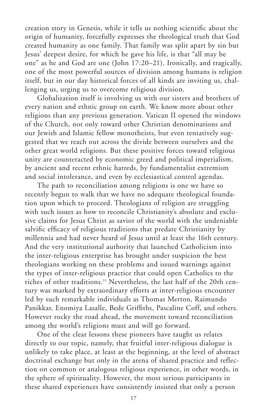creation story in Genesis, while it tells us nothing scientific about the origin of humanity, forcefully expresses the theological truth that God created humanity as one family. That family was split apart by sin but Jesus' deepest desire, for which he gave his life, is that "all may be one" as he and God are one (John 17:20–21). Ironically, and tragically, one of the most powerful sources of division among humans is religion itself, but in our day historical forces of all kinds are inviting us, challenging us, urging us to overcome religious division.

Globalization itself is involving us with our sisters and brothers of every nation and ethnic group on earth. We know more about other religions than any previous generation. Vatican II opened the windows of the Church, not only toward other Christian denominations and our Jewish and Islamic fellow monotheists, but even tentatively suggested that we reach out across the divide between ourselves and the other great world religions. But these positive forces toward religious unity are counteracted by economic greed and political imperialism, by ancient and recent ethnic hatreds, by fundamentalist extremism and social intolerance, and even by ecclesiastical control agendas.

The path to reconciliation among religions is one we have so recently begun to walk that we have no adequate theological foundation upon which to proceed. Theologians of religion are struggling with such issues as how to reconcile Christianity's absolute and exclusive claims for Jesus Christ as savior of the world with the undeniable salvific efficacy of religious traditions that predate Christianity by millennia and had never heard of Jesus until at least the 16th century. And the very institutional authority that launched Catholicism into the inter-religious enterprise has brought under suspicion the best theologians working on these problems and issued warnings against the types of inter-religious practice that could open Catholics to the riches of other traditions.<sup>31</sup> Nevertheless, the last half of the 20th century was marked by extraordinary efforts at inter-religious encounter led by such remarkable individuals as Thomas Merton, Raimundo Panikkar, Enomiya Lasalle, Bede Griffiths, Pascaline Coff, and others. However rocky the road ahead, the movement toward reconciliation among the world's religions must and will go forward.

One of the clear lessons these pioneers have taught us relates directly to our topic, namely, that fruitful inter-religious dialogue is unlikely to take place, at least at the beginning, at the level of abstract doctrinal exchange but only in the arena of shared practice and reflection on common or analogous religious experience, in other words, in the sphere of spirituality. However, the most serious participants in these shared experiences have consistently insisted that only a person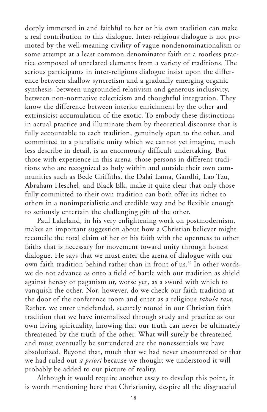deeply immersed in and faithful to her or his own tradition can make a real contribution to this dialogue. Inter-religious dialogue is not promoted by the well-meaning civility of vague nondenominationalism or some attempt at a least common denominator faith or a rootless practice composed of unrelated elements from a variety of traditions. The serious participants in inter-religious dialogue insist upon the difference between shallow syncretism and a gradually emerging organic synthesis, between ungrounded relativism and generous inclusivity, between non-normative eclecticism and thoughtful integration. They know the difference between interior enrichment by the other and extrinsicist accumulation of the exotic. To embody these distinctions in actual practice and illuminate them by theoretical discourse that is fully accountable to each tradition, genuinely open to the other, and committed to a pluralistic unity which we cannot yet imagine, much less describe in detail, is an enormously difficult undertaking. But those with experience in this arena, those persons in different traditions who are recognized as holy within and outside their own communities such as Bede Griffiths, the Dalai Lama, Gandhi, Lao Tzu, Abraham Heschel, and Black Elk, make it quite clear that only those fully committed to their own tradition can both offer its riches to others in a nonimperialistic and credible way and be flexible enough to seriously entertain the challenging gift of the other.

Paul Lakeland, in his very enlightening work on postmodernism, makes an important suggestion about how a Christian believer might reconcile the total claim of her or his faith with the openness to other faiths that is necessary for movement toward unity through honest dialogue. He says that we must enter the arena of dialogue with our own faith tradition behind rather than in front of us.32 In other words, we do not advance as onto a field of battle with our tradition as shield against heresy or paganism or, worse yet, as a sword with which to vanquish the other. Nor, however, do we check our faith tradition at the door of the conference room and enter as a religious *tabula rasa.* Rather, we enter undefended, securely rooted in our Christian faith tradition that we have internalized through study and practice as our own living spirituality, knowing that our truth can never be ultimately threatened by the truth of the other. What will surely be threatened and must eventually be surrendered are the nonessentials we have absolutized. Beyond that, much that we had never encountered or that we had ruled out *a priori* because we thought we understood it will probably be added to our picture of reality.

Although it would require another essay to develop this point, it is worth mentioning here that Christianity, despite all the disgraceful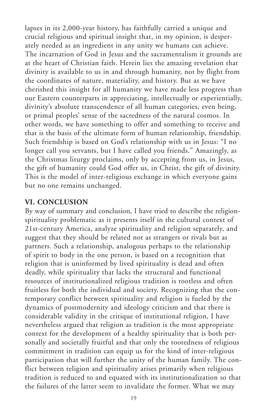lapses in its 2,000-year history, has faithfully carried a unique and crucial religious and spiritual insight that, in my opinion, is desperately needed as an ingredient in any unity we humans can achieve. The incarnation of God in Jesus and the sacramentalism it grounds are at the heart of Christian faith. Herein lies the amazing revelation that divinity is available to us in and through humanity, not by flight from the coordinates of nature, materiality, and history. But as we have cherished this insight for all humanity we have made less progress than our Eastern counterparts in appreciating, intellectually or experientially, divinity's absolute transcendence of all human categories, even being, or primal peoples' sense of the sacredness of the natural cosmos. In other words, we have something to offer and something to receive and that is the basis of the ultimate form of human relationship, friendship. Such friendship is based on God's relationship with us in Jesus: "I no longer call you servants, but I have called you friends." Amazingly, as the Christmas liturgy proclaims, only by accepting from us, in Jesus, the gift of humanity could God offer us, in Christ, the gift of divinity. This is the model of inter-religious exchange in which everyone gains but no one remains unchanged.

#### **VI. CONCLUSION**

By way of summary and conclusion, I have tried to describe the religionspirituality problematic as it presents itself in the cultural context of 21st-century America, analyze spirituality and religion separately, and suggest that they should be related not as strangers or rivals but as partners. Such a relationship, analogous perhaps to the relationship of spirit to body in the one person, is based on a recognition that religion that is uninformed by lived spirituality is dead and often deadly, while spirituality that lacks the structural and functional resources of institutionalized religious tradition is rootless and often fruitless for both the individual and society. Recognizing that the contemporary conflict between spirituality and religion is fueled by the dynamics of postmodernity and ideology criticism and that there is considerable validity in the critique of institutional religion, I have nevertheless argued that religion as tradition is the most appropriate context for the development of a healthy spirituality that is both personally and societally fruitful and that only the rootedness of religious commitment in tradition can equip us for the kind of inter-religious participation that will further the unity of the human family. The conflict between religion and spirituality arises primarily when religious tradition is reduced to and equated with its institutionalization so that the failures of the latter seem to invalidate the former. What we may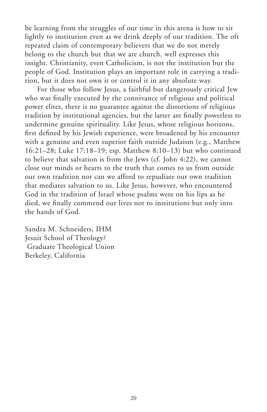be learning from the struggles of our time in this arena is how to sit lightly to institution even as we drink deeply of our tradition. The oft repeated claim of contemporary believers that we do not merely belong to the church but that we are church, well expresses this insight. Christianity, even Catholicism, is not the institution but the people of God. Institution plays an important role in carrying a tradition, but it does not own it or control it in any absolute way.

For those who follow Jesus, a faithful but dangerously critical Jew who was finally executed by the connivance of religious and political power elites, there is no guarantee against the distortions of religious tradition by institutional agencies, but the latter are finally powerless to undermine genuine spirituality. Like Jesus, whose religious horizons, first defined by his Jewish experience, were broadened by his encounter with a genuine and even superior faith outside Judaism (e.g., Matthew 16:21–28; Luke 17:18–19; esp. Matthew 8:10–13) but who continued to believe that salvation is from the Jews (cf. John 4:22), we cannot close our minds or hearts to the truth that comes to us from outside our own tradition nor can we afford to repudiate our own tradition that mediates salvation to us. Like Jesus, however, who encountered God in the tradition of Israel whose psalms were on his lips as he died, we finally commend our lives not to institutions but only into the hands of God.

Sandra M. Schneiders, IHM Jesuit School of Theology/ Graduate Theological Union Berkeley, California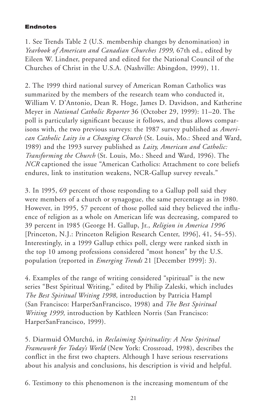#### **Endnotes**

1. See Trends Table 2 (U.S. membership changes by denomination) in *Yearbook of American and Canadian Churches 1999,* 67th ed., edited by Eileen W. Lindner, prepared and edited for the National Council of the Churches of Christ in the U.S.A. (Nashville: Abingdon, 1999), 11.

2. The 1999 third national survey of American Roman Catholics was summarized by the members of the research team who conducted it, William V. D'Antonio, Dean R. Hoge, James D. Davidson, and Katherine Meyer in *National Catholic Reporter* 36 (October 29, 1999): 11–20. The poll is particularly significant because it follows, and thus allows comparisons with, the two previous surveys: the 1987 survey published as *American Catholic Laity in a Changing Church* (St. Louis, Mo.: Sheed and Ward, 1989) and the 1993 survey published as *Laity, American and Catholic: Transforming the Church* (St. Louis, Mo.: Sheed and Ward, 1996). The *NCR* captioned the issue "American Catholics: Attachment to core beliefs endures, link to institution weakens, NCR-Gallup survey reveals."

3. In 1995, 69 percent of those responding to a Gallup poll said they were members of a church or synagogue, the same percentage as in 1980. However, in 1995, 57 percent of those polled said they believed the influence of religion as a whole on American life was decreasing, compared to 39 percent in 1985 (George H. Gallup, Jr., *Religion in America 1996* [Princeton, N.J.: Princeton Religion Research Center, 1996], 41, 54–55). Interestingly, in a 1999 Gallup ethics poll, clergy were ranked sixth in the top 10 among professions considered "most honest" by the U.S. population (reported in *Emerging Trends* 21 [December 1999]: 3).

4. Examples of the range of writing considered "spiritual" is the new series "Best Spiritual Writing," edited by Philip Zaleski, which includes *The Best Spiritual Writing 1998,* introduction by Patricia Hampl (San Francisco: HarperSanFrancisco, 1998) and *The Best Spiritual Writing 1999,* introduction by Kathleen Norris (San Francisco: HarperSanFrancisco, 1999).

5. Diarmuid ÓMurchú, in *Reclaiming Spirituality: A New Spiritual Framework for Today's World* (New York: Crossroad, 1998), describes the conflict in the first two chapters. Although I have serious reservations about his analysis and conclusions, his description is vivid and helpful.

6. Testimony to this phenomenon is the increasing momentum of the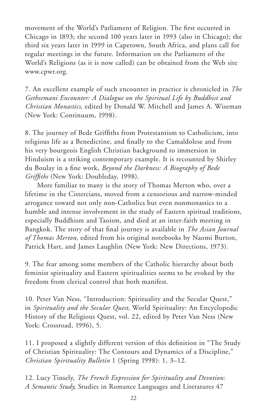movement of the World's Parliament of Religion. The first occurred in Chicago in 1893; the second 100 years later in 1993 (also in Chicago); the third six years later in 1999 in Capetown, South Africa, and plans call for regular meetings in the future. Information on the Parliament of the World's Religions (as it is now called) can be obtained from the Web site www.cpwr.org.

7. An excellent example of such encounter in practice is chronicled in *The Gethsemani Encounter: A Dialogue on the Spiritual Life by Buddhist and Christian Monastics,* edited by Donald W. Mitchell and James A. Wiseman (New York: Continuum, 1998).

8. The journey of Bede Griffiths from Protestantism to Catholicism, into religious life as a Benedictine, and finally to the Camaldolese and from his very bourgeois English Christian background to immersion in Hinduism is a striking contemporary example. It is recounted by Shirley du Boulay in a fine work, *Beyond the Darkness: A Biography of Bede Griffiths* (New York: Doubleday, 1998).

More familiar to many is the story of Thomas Merton who, over a lifetime in the Cistercians, moved from a censorious and narrow-minded arrogance toward not only non-Catholics but even nonmonastics to a humble and intense involvement in the study of Eastern spiritual traditions, especially Buddhism and Taoism, and died at an inter-faith meeting in Bangkok. The story of that final journey is available in *The Asian Journal of Thomas Merton,* edited from his original notebooks by Naomi Burton, Patrick Hart, and James Laughlin (New York: New Directions, 1973).

9. The fear among some members of the Catholic hierarchy about both feminist spirituality and Eastern spiritualities seems to be evoked by the freedom from clerical control that both manifest.

10. Peter Van Ness, "Introduction: Spirituality and the Secular Quest," in *Spirituality and the Secular Quest,* World Spirituality: An Encyclopedic History of the Religious Quest, vol. 22, edited by Peter Van Ness (New York: Crossroad, 1996), 5.

11. I proposed a slightly different version of this definition in "The Study of Christian Spirituality: The Contours and Dynamics of a Discipline," *Christian Spirituality Bulletin* 1 (Spring 1998): 1, 3–12.

12. Lucy Tinsely, *The French Expression for Spirituality and Devotion: A Semantic Study,* Studies in Romance Languages and Literatures 47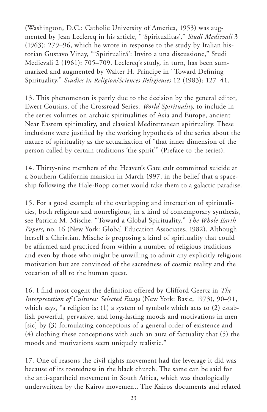(Washington, D.C.: Catholic University of America, 1953) was augmented by Jean Leclercq in his article, "'Spiritualitas'," *Studi Medievali* 3 (1963): 279–96, which he wrote in response to the study by Italian historian Gustavo Vinay, "'Spiritualitá': Invito a una discussione," Studi Medievali 2 (1961): 705–709. Leclercq's study, in turn, has been summarized and augmented by Walter H. Principe in "Toward Defining Spirituality," *Studies in Religion/Sciences Religieuses* 12 (1983): 127–41.

13. This phenomenon is partly due to the decision by the general editor, Ewert Cousins, of the Crossroad Series, *World Spirituality,* to include in the series volumes on archaic spiritualities of Asia and Europe, ancient Near Eastern spirituality, and classical Mediterranean spirituality. These inclusions were justified by the working hypothesis of the series about the nature of spirituality as the actualization of "that inner dimension of the person called by certain traditions 'the spirit'" (Preface to the series).

14. Thirty-nine members of the Heaven's Gate cult committed suicide at a Southern California mansion in March 1997, in the belief that a spaceship following the Hale-Bopp comet would take them to a galactic paradise.

15. For a good example of the overlapping and interaction of spiritualities, both religious and nonreligious, in a kind of contemporary synthesis, see Patricia M. Mische, "Toward a Global Spirituality," *The Whole Earth Papers,* no. 16 (New York: Global Education Associates, 1982). Although herself a Christian, Mische is proposing a kind of spirituality that could be affirmed and practiced from within a number of religious traditions and even by those who might be unwilling to admit any explicitly religious motivation but are convinced of the sacredness of cosmic reality and the vocation of all to the human quest.

16. I find most cogent the definition offered by Clifford Geertz in *The Interpretation of Cultures: Selected Essays* (New York: Basic, 1973), 90–91, which says, "a religion is: (1) a system of symbols which acts to (2) establish powerful, pervasive, and long-lasting moods and motivations in men [sic] by (3) formulating conceptions of a general order of existence and (4) clothing these conceptions with such an aura of factuality that (5) the moods and motivations seem uniquely realistic."

17. One of reasons the civil rights movement had the leverage it did was because of its rootedness in the black church. The same can be said for the anti-apartheid movement in South Africa, which was theologically underwritten by the Kairos movement. The Kairos documents and related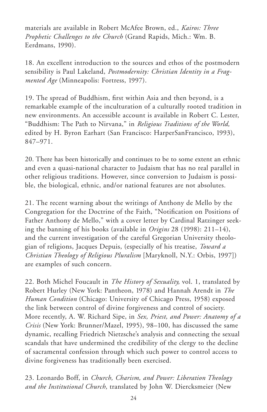materials are available in Robert McAfee Brown, ed., *Kairos: Three Prophetic Challenges to the Church* (Grand Rapids, Mich.: Wm. B. Eerdmans, 1990).

18. An excellent introduction to the sources and ethos of the postmodern sensibility is Paul Lakeland, *Postmodernity: Christian Identity in a Fragmented Age* (Minneapolis: Fortress, 1997).

19. The spread of Buddhism, first within Asia and then beyond, is a remarkable example of the inculturation of a culturally rooted tradition in new environments. An accessible account is available in Robert C. Lester, "Buddhism: The Path to Nirvana," in *Religious Traditions of the World,* edited by H. Byron Earhart (San Francisco: HarperSanFrancisco, 1993), 847–971.

20. There has been historically and continues to be to some extent an ethnic and even a quasi-national character to Judaism that has no real parallel in other religious traditions. However, since conversion to Judaism is possible, the biological, ethnic, and/or national features are not absolutes.

21. The recent warning about the writings of Anthony de Mello by the Congregation for the Doctrine of the Faith, "Notification on Positions of Father Anthony de Mello," with a cover letter by Cardinal Ratzinger seeking the banning of his books (available in *Origins* 28 (1998): 211–14), and the current investigation of the careful Gregorian University theologian of religions, Jacques Depuis, (especially of his treatise, *Toward a Christian Theology of Religious Pluralism* [Maryknoll, N.Y.: Orbis, 1997]) are examples of such concern.

22. Both Michel Foucault in *The History of Sexuality,* vol. 1, translated by Robert Hurley (New York: Pantheon, 1978) and Hannah Arendt in *The Human Condition* (Chicago: University of Chicago Press, 1958) exposed the link between control of divine forgiveness and control of society. More recently, A. W. Richard Sipe, in *Sex, Priest, and Power: Anatomy of a Crisis* (New York: Brunner/Mazel, 1995), 98–100, has discussed the same dynamic, recalling Friedrich Nietzsche's analysis and connecting the sexual scandals that have undermined the credibility of the clergy to the decline of sacramental confession through which such power to control access to divine forgiveness has traditionally been exercised.

23. Leonardo Boff, in *Church, Charism, and Power: Liberation Theology and the Institutional Church,* translated by John W. Diercksmeier (New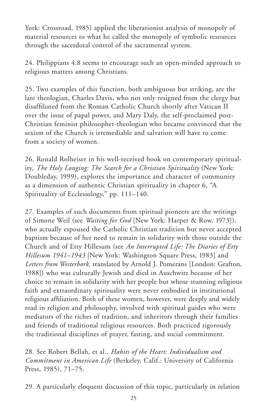York: Crossroad, 1985) applied the liberationist analysis of monopoly of material resources to what he called the monopoly of symbolic resources through the sacerdotal control of the sacramental system.

24. Philippians 4:8 seems to encourage such an open-minded approach to religious matters among Christians.

25. Two examples of this function, both ambiguous but striking, are the late theologian, Charles Davis, who not only resigned from the clergy but disaffiliated from the Roman Catholic Church shortly after Vatican II over the issue of papal power, and Mary Daly, the self-proclaimed post-Christian feminist philosopher-theologian who became convinced that the sexism of the Church is irremediable and salvation will have to come from a society of women.

26. Ronald Rolheiser in his well-received book on contemporary spirituality, *The Holy Longing: The Search for a Christian Spirituality* (New York: Doubleday, 1999), explores the importance and character of community as a dimension of authentic Christian spirituality in chapter 6, "A Spirituality of Ecclesiology," pp. 111-140.

27. Examples of such documents from spiritual pioneers are the writings of Simone Weil (see *Waiting for God* [New York: Harper & Row, 1973]), who actually espoused the Catholic Christian tradition but never accepted baptism because of her need to remain in solidarity with those outside the Church and of Etty Hillesum (see *An Interrupted Life: The Diaries of Etty Hillesum 1941–1943* [New York: Washington Square Press, 1983] and *Letters from Westerbork,* translated by Arnold J. Pomerans [London: Grafton, 1988]) who was culturally Jewish and died in Auschwitz because of her choice to remain in solidarity with her people but whose stunning religious faith and extraordinary spirituality were never embodied in institutional religious affiliation. Both of these women, however, were deeply and widely read in religion and philosophy, involved with spiritual guides who were mediators of the riches of tradition, and inheritors through their families and friends of traditional religious resources. Both practiced rigorously the traditional disciplines of prayer, fasting, and social commitment.

28. See Robert Bellah, et al., *Habits of the Heart: Individualism and Commitment in American Life* (Berkeley, Calif.: University of California Press, 1985), 71–75.

29. A particularly eloquent discussion of this topic, particularly in relation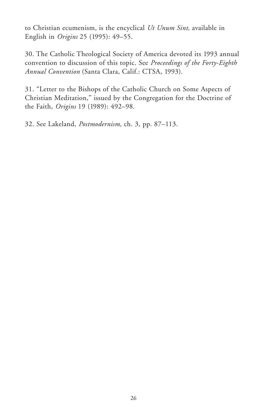to Christian ecumenism, is the encyclical *Ut Unum Sint,* available in English in *Origins* 25 (1995): 49–55.

30. The Catholic Theological Society of America devoted its 1993 annual convention to discussion of this topic. See *Proceedings of the Forty-Eighth Annual Convention* (Santa Clara, Calif.: CTSA, 1993).

31. "Letter to the Bishops of the Catholic Church on Some Aspects of Christian Meditation," issued by the Congregation for the Doctrine of the Faith, *Origins* 19 (1989): 492–98.

32. See Lakeland, *Postmodernism,* ch. 3, pp. 87–113.